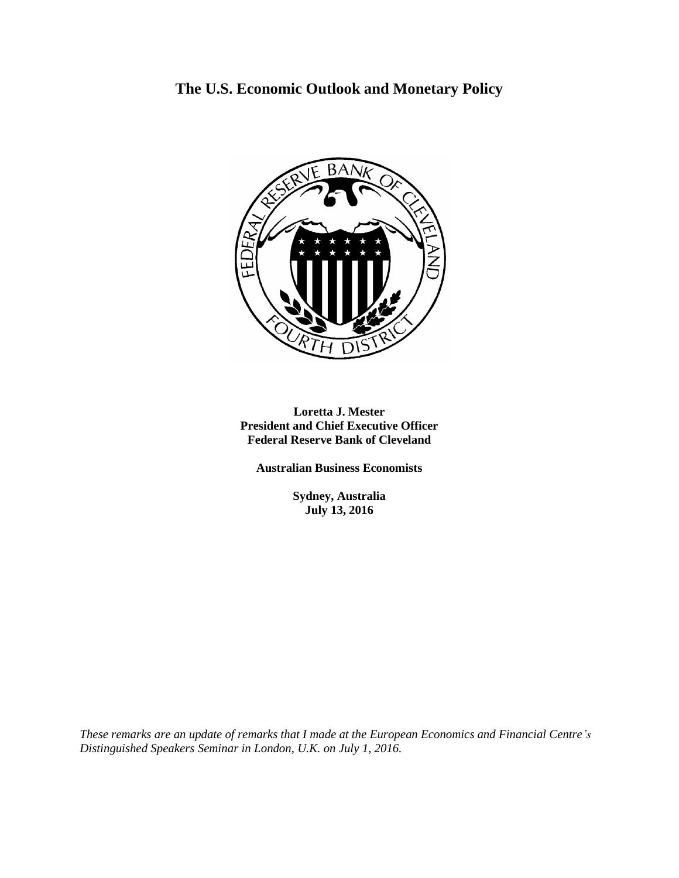# **The U.S. Economic Outlook and Monetary Policy**



**Loretta J. Mester President and Chief Executive Officer Federal Reserve Bank of Cleveland**

**Australian Business Economists**

**Sydney, Australia July 13, 2016**

*These remarks are an update of remarks that I made at the European Economics and Financial Centre's Distinguished Speakers Seminar in London, U.K. on July 1, 2016.*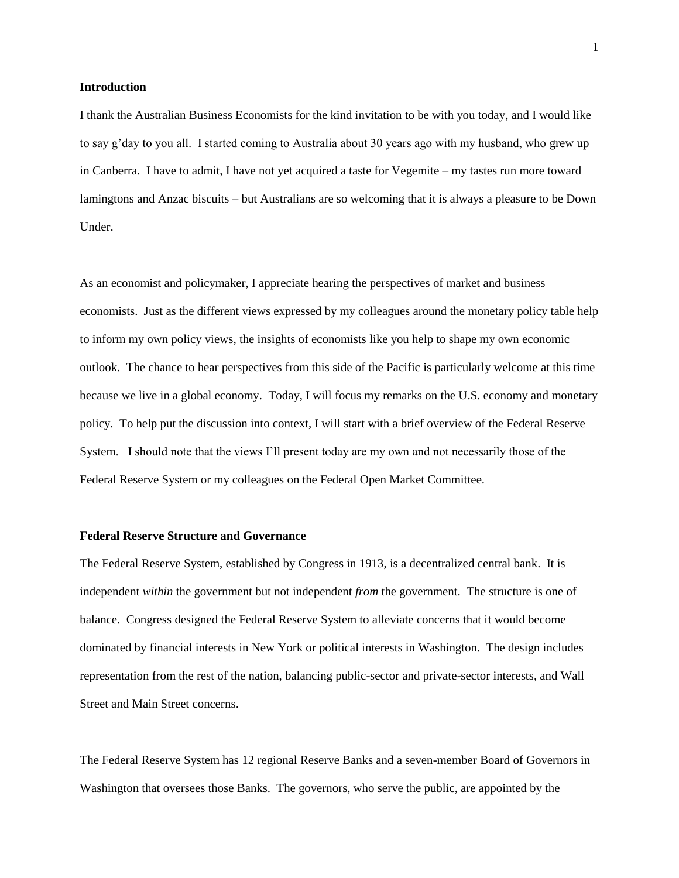#### **Introduction**

I thank the Australian Business Economists for the kind invitation to be with you today, and I would like to say g'day to you all. I started coming to Australia about 30 years ago with my husband, who grew up in Canberra. I have to admit, I have not yet acquired a taste for Vegemite – my tastes run more toward lamingtons and Anzac biscuits – but Australians are so welcoming that it is always a pleasure to be Down Under.

As an economist and policymaker, I appreciate hearing the perspectives of market and business economists. Just as the different views expressed by my colleagues around the monetary policy table help to inform my own policy views, the insights of economists like you help to shape my own economic outlook. The chance to hear perspectives from this side of the Pacific is particularly welcome at this time because we live in a global economy. Today, I will focus my remarks on the U.S. economy and monetary policy. To help put the discussion into context, I will start with a brief overview of the Federal Reserve System. I should note that the views I'll present today are my own and not necessarily those of the Federal Reserve System or my colleagues on the Federal Open Market Committee.

#### **Federal Reserve Structure and Governance**

The Federal Reserve System, established by Congress in 1913, is a decentralized central bank. It is independent *within* the government but not independent *from* the government. The structure is one of balance. Congress designed the Federal Reserve System to alleviate concerns that it would become dominated by financial interests in New York or political interests in Washington. The design includes representation from the rest of the nation, balancing public-sector and private-sector interests, and Wall Street and Main Street concerns.

The Federal Reserve System has 12 regional Reserve Banks and a seven-member Board of Governors in Washington that oversees those Banks. The governors, who serve the public, are appointed by the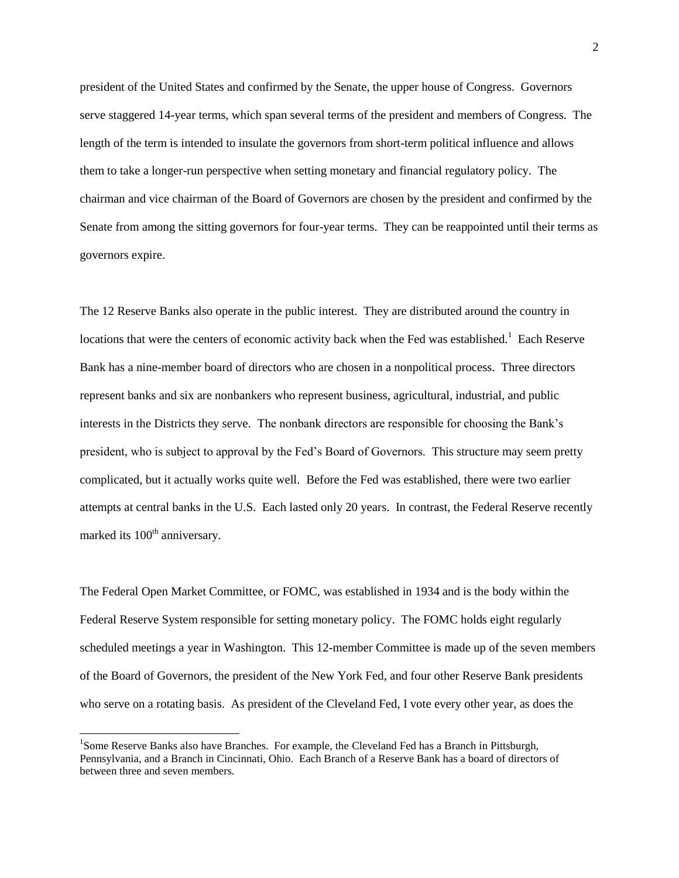president of the United States and confirmed by the Senate, the upper house of Congress. Governors serve staggered 14-year terms, which span several terms of the president and members of Congress. The length of the term is intended to insulate the governors from short-term political influence and allows them to take a longer-run perspective when setting monetary and financial regulatory policy. The chairman and vice chairman of the Board of Governors are chosen by the president and confirmed by the Senate from among the sitting governors for four-year terms. They can be reappointed until their terms as governors expire.

The 12 Reserve Banks also operate in the public interest. They are distributed around the country in locations that were the centers of economic activity back when the Fed was established.<sup>1</sup> Each Reserve Bank has a nine-member board of directors who are chosen in a nonpolitical process. Three directors represent banks and six are nonbankers who represent business, agricultural, industrial, and public interests in the Districts they serve. The nonbank directors are responsible for choosing the Bank's president, who is subject to approval by the Fed's Board of Governors. This structure may seem pretty complicated, but it actually works quite well. Before the Fed was established, there were two earlier attempts at central banks in the U.S. Each lasted only 20 years. In contrast, the Federal Reserve recently marked its  $100<sup>th</sup>$  anniversary.

The Federal Open Market Committee, or FOMC, was established in 1934 and is the body within the Federal Reserve System responsible for setting monetary policy. The FOMC holds eight regularly scheduled meetings a year in Washington. This 12-member Committee is made up of the seven members of the Board of Governors, the president of the New York Fed, and four other Reserve Bank presidents who serve on a rotating basis. As president of the Cleveland Fed, I vote every other year, as does the

 $\overline{\phantom{a}}$ 

<sup>&</sup>lt;sup>1</sup>Some Reserve Banks also have Branches. For example, the Cleveland Fed has a Branch in Pittsburgh, Pennsylvania, and a Branch in Cincinnati, Ohio. Each Branch of a Reserve Bank has a board of directors of between three and seven members.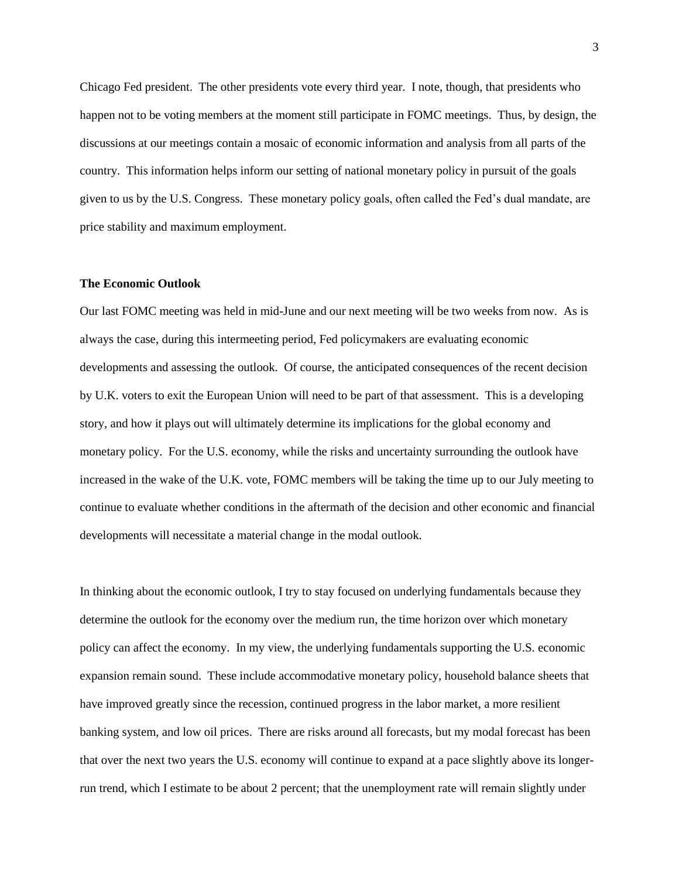Chicago Fed president. The other presidents vote every third year. I note, though, that presidents who happen not to be voting members at the moment still participate in FOMC meetings. Thus, by design, the discussions at our meetings contain a mosaic of economic information and analysis from all parts of the country. This information helps inform our setting of national monetary policy in pursuit of the goals given to us by the U.S. Congress. These monetary policy goals, often called the Fed's dual mandate, are price stability and maximum employment.

### **The Economic Outlook**

Our last FOMC meeting was held in mid-June and our next meeting will be two weeks from now. As is always the case, during this intermeeting period, Fed policymakers are evaluating economic developments and assessing the outlook. Of course, the anticipated consequences of the recent decision by U.K. voters to exit the European Union will need to be part of that assessment. This is a developing story, and how it plays out will ultimately determine its implications for the global economy and monetary policy. For the U.S. economy, while the risks and uncertainty surrounding the outlook have increased in the wake of the U.K. vote, FOMC members will be taking the time up to our July meeting to continue to evaluate whether conditions in the aftermath of the decision and other economic and financial developments will necessitate a material change in the modal outlook.

In thinking about the economic outlook, I try to stay focused on underlying fundamentals because they determine the outlook for the economy over the medium run, the time horizon over which monetary policy can affect the economy. In my view, the underlying fundamentals supporting the U.S. economic expansion remain sound. These include accommodative monetary policy, household balance sheets that have improved greatly since the recession, continued progress in the labor market, a more resilient banking system, and low oil prices. There are risks around all forecasts, but my modal forecast has been that over the next two years the U.S. economy will continue to expand at a pace slightly above its longerrun trend, which I estimate to be about 2 percent; that the unemployment rate will remain slightly under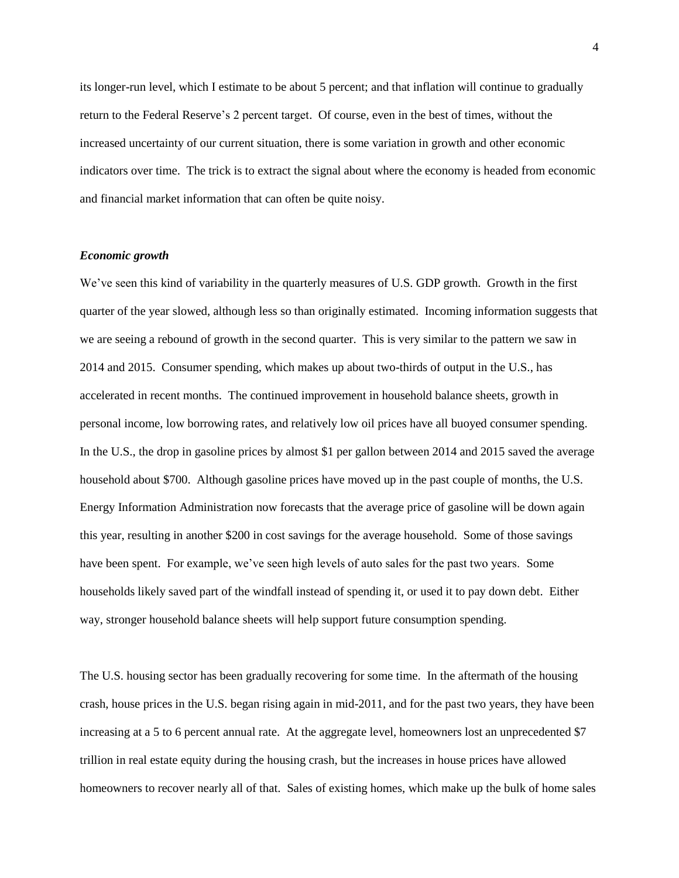its longer-run level, which I estimate to be about 5 percent; and that inflation will continue to gradually return to the Federal Reserve's 2 percent target. Of course, even in the best of times, without the increased uncertainty of our current situation, there is some variation in growth and other economic indicators over time. The trick is to extract the signal about where the economy is headed from economic and financial market information that can often be quite noisy.

## *Economic growth*

We've seen this kind of variability in the quarterly measures of U.S. GDP growth. Growth in the first quarter of the year slowed, although less so than originally estimated. Incoming information suggests that we are seeing a rebound of growth in the second quarter. This is very similar to the pattern we saw in 2014 and 2015. Consumer spending, which makes up about two-thirds of output in the U.S., has accelerated in recent months. The continued improvement in household balance sheets, growth in personal income, low borrowing rates, and relatively low oil prices have all buoyed consumer spending. In the U.S., the drop in gasoline prices by almost \$1 per gallon between 2014 and 2015 saved the average household about \$700. Although gasoline prices have moved up in the past couple of months, the U.S. Energy Information Administration now forecasts that the average price of gasoline will be down again this year, resulting in another \$200 in cost savings for the average household. Some of those savings have been spent. For example, we've seen high levels of auto sales for the past two years. Some households likely saved part of the windfall instead of spending it, or used it to pay down debt. Either way, stronger household balance sheets will help support future consumption spending.

The U.S. housing sector has been gradually recovering for some time. In the aftermath of the housing crash, house prices in the U.S. began rising again in mid-2011, and for the past two years, they have been increasing at a 5 to 6 percent annual rate. At the aggregate level, homeowners lost an unprecedented \$7 trillion in real estate equity during the housing crash, but the increases in house prices have allowed homeowners to recover nearly all of that. Sales of existing homes, which make up the bulk of home sales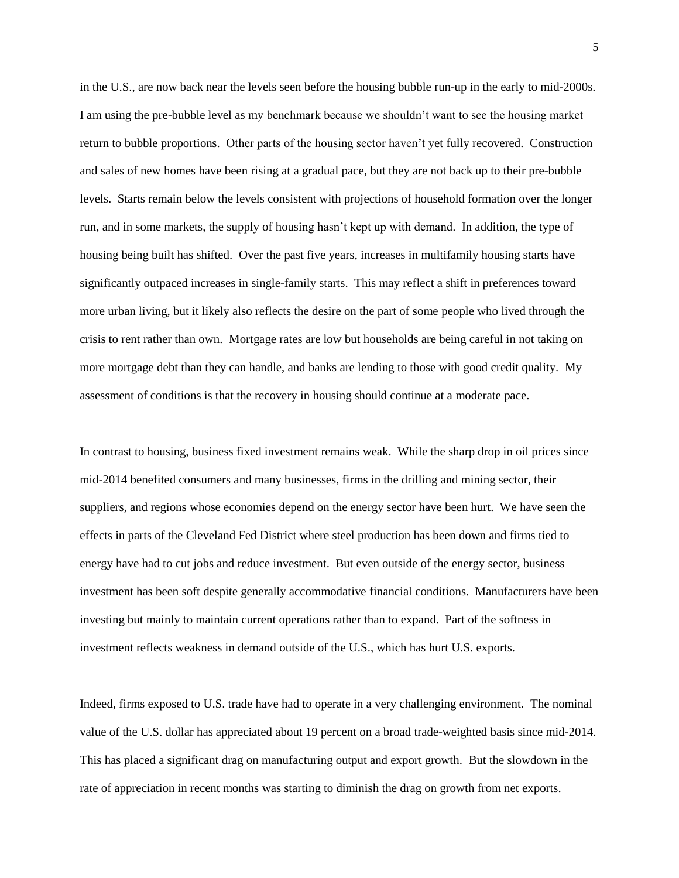in the U.S., are now back near the levels seen before the housing bubble run-up in the early to mid-2000s. I am using the pre-bubble level as my benchmark because we shouldn't want to see the housing market return to bubble proportions. Other parts of the housing sector haven't yet fully recovered. Construction and sales of new homes have been rising at a gradual pace, but they are not back up to their pre-bubble levels. Starts remain below the levels consistent with projections of household formation over the longer run, and in some markets, the supply of housing hasn't kept up with demand. In addition, the type of housing being built has shifted. Over the past five years, increases in multifamily housing starts have significantly outpaced increases in single-family starts. This may reflect a shift in preferences toward more urban living, but it likely also reflects the desire on the part of some people who lived through the crisis to rent rather than own. Mortgage rates are low but households are being careful in not taking on more mortgage debt than they can handle, and banks are lending to those with good credit quality. My assessment of conditions is that the recovery in housing should continue at a moderate pace.

In contrast to housing, business fixed investment remains weak. While the sharp drop in oil prices since mid-2014 benefited consumers and many businesses, firms in the drilling and mining sector, their suppliers, and regions whose economies depend on the energy sector have been hurt. We have seen the effects in parts of the Cleveland Fed District where steel production has been down and firms tied to energy have had to cut jobs and reduce investment. But even outside of the energy sector, business investment has been soft despite generally accommodative financial conditions. Manufacturers have been investing but mainly to maintain current operations rather than to expand. Part of the softness in investment reflects weakness in demand outside of the U.S., which has hurt U.S. exports.

Indeed, firms exposed to U.S. trade have had to operate in a very challenging environment. The nominal value of the U.S. dollar has appreciated about 19 percent on a broad trade-weighted basis since mid-2014. This has placed a significant drag on manufacturing output and export growth. But the slowdown in the rate of appreciation in recent months was starting to diminish the drag on growth from net exports.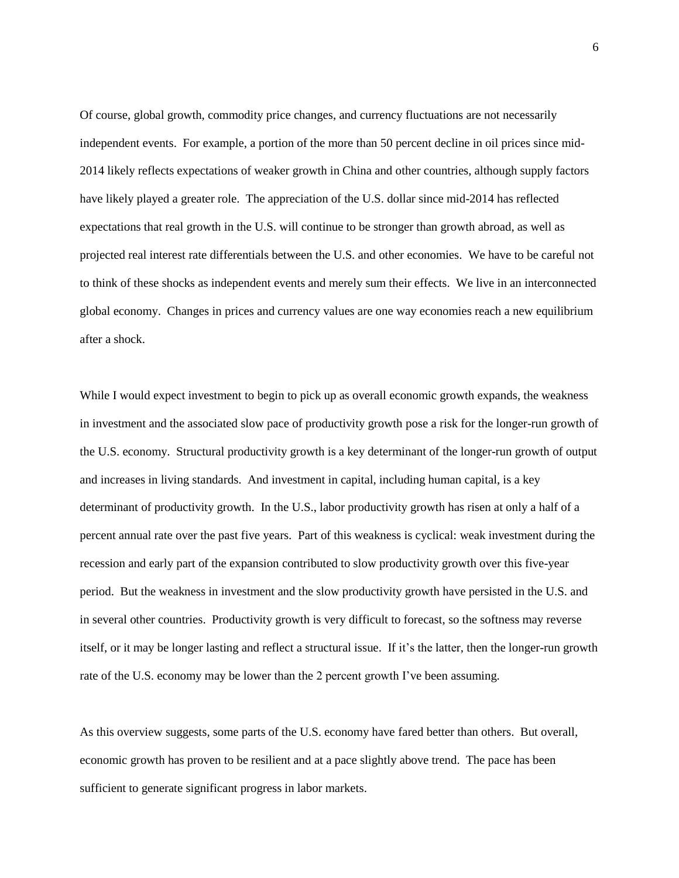Of course, global growth, commodity price changes, and currency fluctuations are not necessarily independent events. For example, a portion of the more than 50 percent decline in oil prices since mid-2014 likely reflects expectations of weaker growth in China and other countries, although supply factors have likely played a greater role. The appreciation of the U.S. dollar since mid-2014 has reflected expectations that real growth in the U.S. will continue to be stronger than growth abroad, as well as projected real interest rate differentials between the U.S. and other economies. We have to be careful not to think of these shocks as independent events and merely sum their effects. We live in an interconnected global economy. Changes in prices and currency values are one way economies reach a new equilibrium after a shock.

While I would expect investment to begin to pick up as overall economic growth expands, the weakness in investment and the associated slow pace of productivity growth pose a risk for the longer-run growth of the U.S. economy. Structural productivity growth is a key determinant of the longer-run growth of output and increases in living standards. And investment in capital, including human capital, is a key determinant of productivity growth. In the U.S., labor productivity growth has risen at only a half of a percent annual rate over the past five years. Part of this weakness is cyclical: weak investment during the recession and early part of the expansion contributed to slow productivity growth over this five-year period. But the weakness in investment and the slow productivity growth have persisted in the U.S. and in several other countries. Productivity growth is very difficult to forecast, so the softness may reverse itself, or it may be longer lasting and reflect a structural issue. If it's the latter, then the longer-run growth rate of the U.S. economy may be lower than the 2 percent growth I've been assuming.

As this overview suggests, some parts of the U.S. economy have fared better than others. But overall, economic growth has proven to be resilient and at a pace slightly above trend. The pace has been sufficient to generate significant progress in labor markets.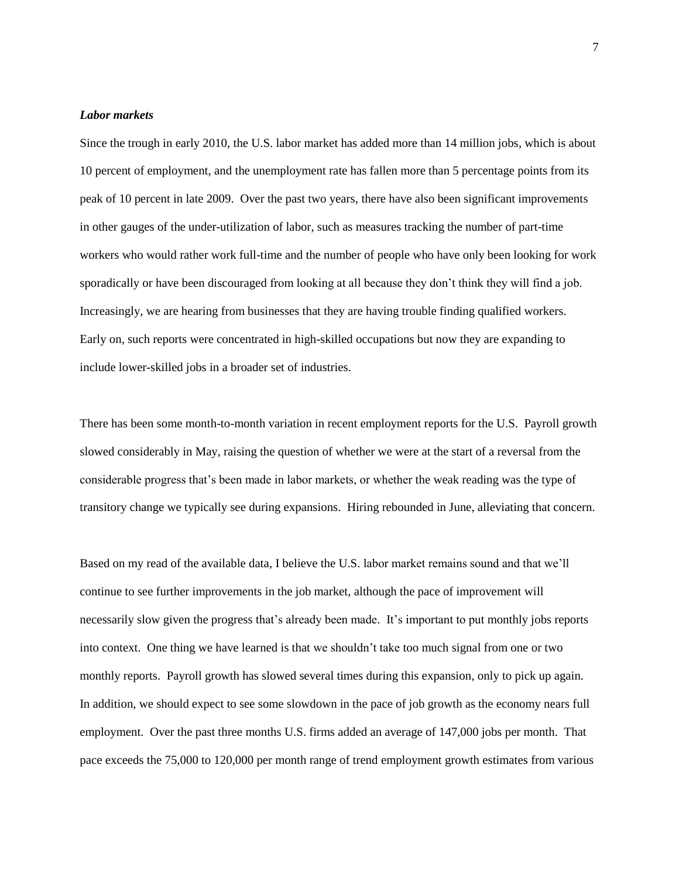## *Labor markets*

Since the trough in early 2010, the U.S. labor market has added more than 14 million jobs, which is about 10 percent of employment, and the unemployment rate has fallen more than 5 percentage points from its peak of 10 percent in late 2009. Over the past two years, there have also been significant improvements in other gauges of the under-utilization of labor, such as measures tracking the number of part-time workers who would rather work full-time and the number of people who have only been looking for work sporadically or have been discouraged from looking at all because they don't think they will find a job. Increasingly, we are hearing from businesses that they are having trouble finding qualified workers. Early on, such reports were concentrated in high-skilled occupations but now they are expanding to include lower-skilled jobs in a broader set of industries.

There has been some month-to-month variation in recent employment reports for the U.S. Payroll growth slowed considerably in May, raising the question of whether we were at the start of a reversal from the considerable progress that's been made in labor markets, or whether the weak reading was the type of transitory change we typically see during expansions. Hiring rebounded in June, alleviating that concern.

Based on my read of the available data, I believe the U.S. labor market remains sound and that we'll continue to see further improvements in the job market, although the pace of improvement will necessarily slow given the progress that's already been made. It's important to put monthly jobs reports into context. One thing we have learned is that we shouldn't take too much signal from one or two monthly reports. Payroll growth has slowed several times during this expansion, only to pick up again. In addition, we should expect to see some slowdown in the pace of job growth as the economy nears full employment. Over the past three months U.S. firms added an average of 147,000 jobs per month. That pace exceeds the 75,000 to 120,000 per month range of trend employment growth estimates from various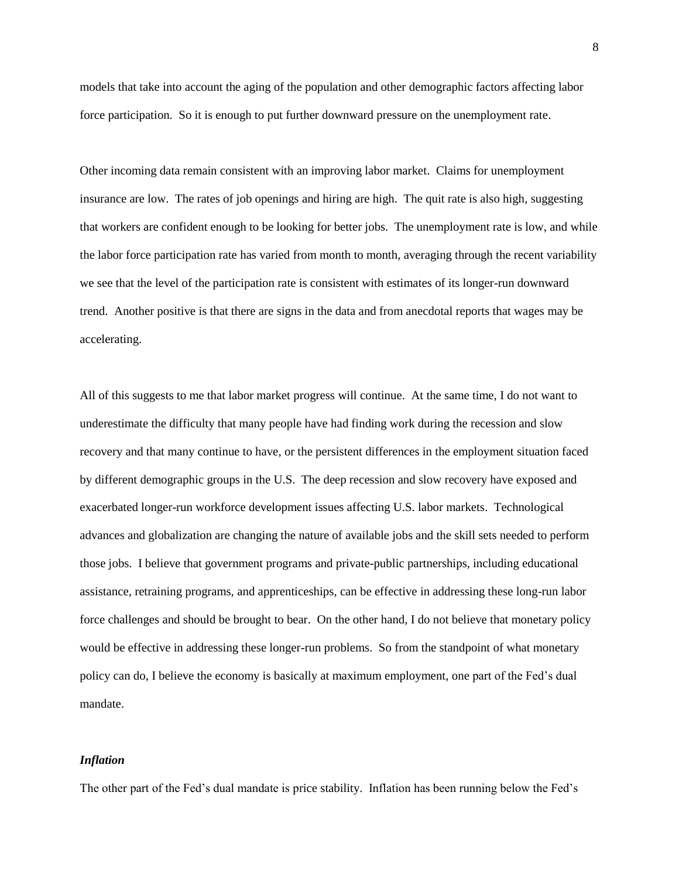models that take into account the aging of the population and other demographic factors affecting labor force participation. So it is enough to put further downward pressure on the unemployment rate.

Other incoming data remain consistent with an improving labor market. Claims for unemployment insurance are low. The rates of job openings and hiring are high. The quit rate is also high, suggesting that workers are confident enough to be looking for better jobs. The unemployment rate is low, and while the labor force participation rate has varied from month to month, averaging through the recent variability we see that the level of the participation rate is consistent with estimates of its longer-run downward trend. Another positive is that there are signs in the data and from anecdotal reports that wages may be accelerating.

All of this suggests to me that labor market progress will continue. At the same time, I do not want to underestimate the difficulty that many people have had finding work during the recession and slow recovery and that many continue to have, or the persistent differences in the employment situation faced by different demographic groups in the U.S. The deep recession and slow recovery have exposed and exacerbated longer-run workforce development issues affecting U.S. labor markets. Technological advances and globalization are changing the nature of available jobs and the skill sets needed to perform those jobs. I believe that government programs and private-public partnerships, including educational assistance, retraining programs, and apprenticeships, can be effective in addressing these long-run labor force challenges and should be brought to bear. On the other hand, I do not believe that monetary policy would be effective in addressing these longer-run problems. So from the standpoint of what monetary policy can do, I believe the economy is basically at maximum employment, one part of the Fed's dual mandate.

#### *Inflation*

The other part of the Fed's dual mandate is price stability. Inflation has been running below the Fed's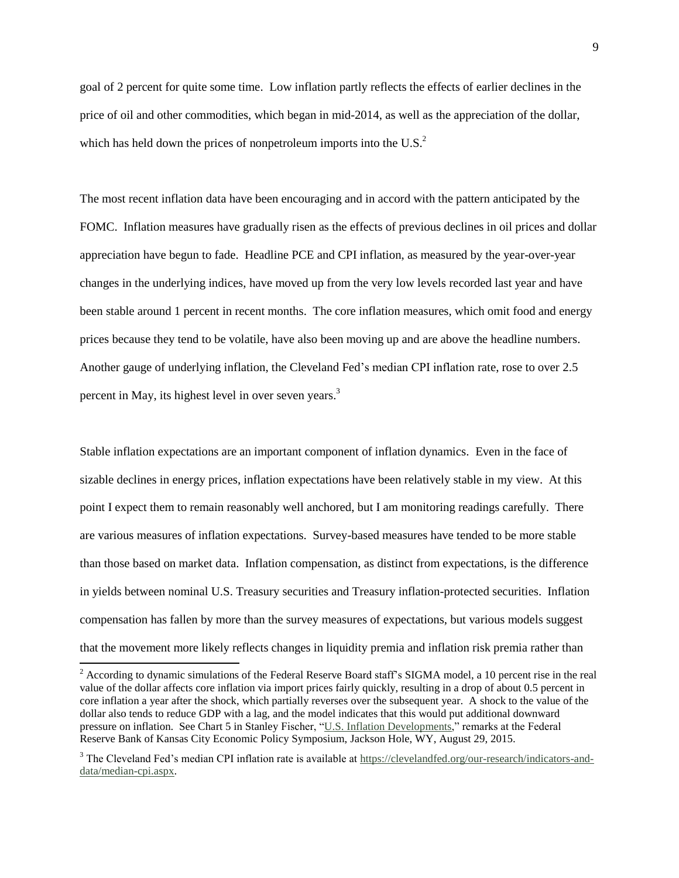goal of 2 percent for quite some time. Low inflation partly reflects the effects of earlier declines in the price of oil and other commodities, which began in mid-2014, as well as the appreciation of the dollar, which has held down the prices of nonpetroleum imports into the U.S.<sup>2</sup>

The most recent inflation data have been encouraging and in accord with the pattern anticipated by the FOMC. Inflation measures have gradually risen as the effects of previous declines in oil prices and dollar appreciation have begun to fade. Headline PCE and CPI inflation, as measured by the year-over-year changes in the underlying indices, have moved up from the very low levels recorded last year and have been stable around 1 percent in recent months. The core inflation measures, which omit food and energy prices because they tend to be volatile, have also been moving up and are above the headline numbers. Another gauge of underlying inflation, the Cleveland Fed's median CPI inflation rate, rose to over 2.5 percent in May, its highest level in over seven years.<sup>3</sup>

Stable inflation expectations are an important component of inflation dynamics. Even in the face of sizable declines in energy prices, inflation expectations have been relatively stable in my view. At this point I expect them to remain reasonably well anchored, but I am monitoring readings carefully. There are various measures of inflation expectations. Survey-based measures have tended to be more stable than those based on market data. Inflation compensation, as distinct from expectations, is the difference in yields between nominal U.S. Treasury securities and Treasury inflation-protected securities. Inflation compensation has fallen by more than the survey measures of expectations, but various models suggest that the movement more likely reflects changes in liquidity premia and inflation risk premia rather than

l

 $2 \text{ According to dynamic simulations of the Federal Reserve Board staff's SIGMA model, a 10 percent rise in the real$ value of the dollar affects core inflation via import prices fairly quickly, resulting in a drop of about 0.5 percent in core inflation a year after the shock, which partially reverses over the subsequent year. A shock to the value of the dollar also tends to reduce GDP with a lag, and the model indicates that this would put additional downward pressure on inflation. See Chart 5 in Stanley Fischer, ["U.S. Inflation Developments,"](http://www.federalreserve.gov/newsevents/speech/fischer20150829a.pdf) remarks at the Federal Reserve Bank of Kansas City Economic Policy Symposium, Jackson Hole, WY, August 29, 2015.

<sup>3</sup> The Cleveland Fed's median CPI inflation rate is available at [https://clevelandfed.org/our-research/indicators-and](https://clevelandfed.org/our-research/indicators-and-data/median-cpi.aspx)[data/median-cpi.aspx.](https://clevelandfed.org/our-research/indicators-and-data/median-cpi.aspx)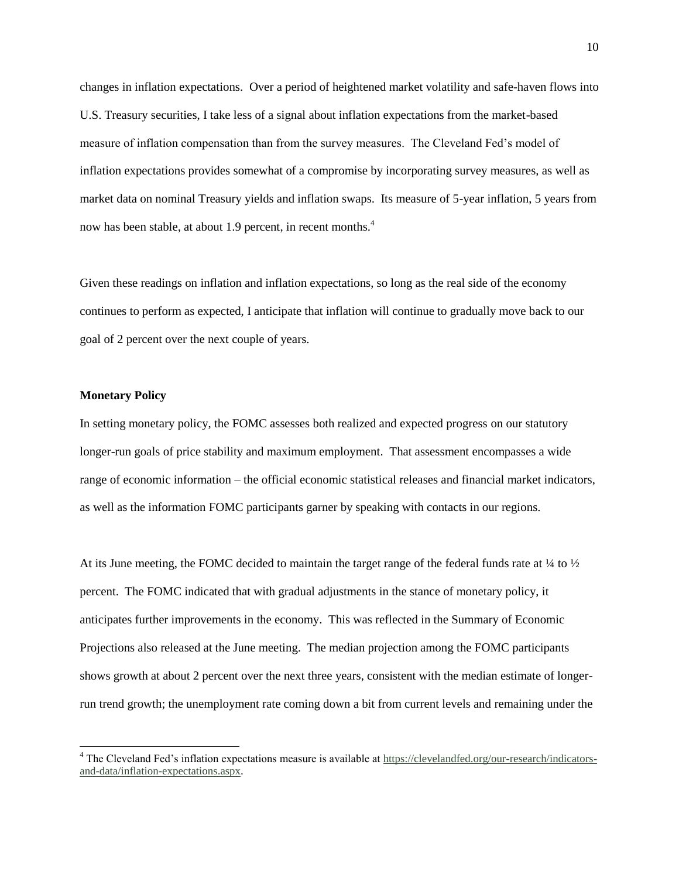changes in inflation expectations. Over a period of heightened market volatility and safe-haven flows into U.S. Treasury securities, I take less of a signal about inflation expectations from the market-based measure of inflation compensation than from the survey measures. The Cleveland Fed's model of inflation expectations provides somewhat of a compromise by incorporating survey measures, as well as market data on nominal Treasury yields and inflation swaps. Its measure of 5-year inflation, 5 years from now has been stable, at about 1.9 percent, in recent months.<sup>4</sup>

Given these readings on inflation and inflation expectations, so long as the real side of the economy continues to perform as expected, I anticipate that inflation will continue to gradually move back to our goal of 2 percent over the next couple of years.

## **Monetary Policy**

l

In setting monetary policy, the FOMC assesses both realized and expected progress on our statutory longer-run goals of price stability and maximum employment. That assessment encompasses a wide range of economic information – the official economic statistical releases and financial market indicators, as well as the information FOMC participants garner by speaking with contacts in our regions.

At its June meeting, the FOMC decided to maintain the target range of the federal funds rate at  $\frac{1}{4}$  to  $\frac{1}{2}$ percent. The FOMC indicated that with gradual adjustments in the stance of monetary policy, it anticipates further improvements in the economy. This was reflected in the Summary of Economic Projections also released at the June meeting. The median projection among the FOMC participants shows growth at about 2 percent over the next three years, consistent with the median estimate of longerrun trend growth; the unemployment rate coming down a bit from current levels and remaining under the

<sup>4</sup> The Cleveland Fed's inflation expectations measure is available a[t https://clevelandfed.org/our-research/indicators](https://clevelandfed.org/our-research/indicators-and-data/inflation-expectations.aspx)[and-data/inflation-expectations.aspx.](https://clevelandfed.org/our-research/indicators-and-data/inflation-expectations.aspx)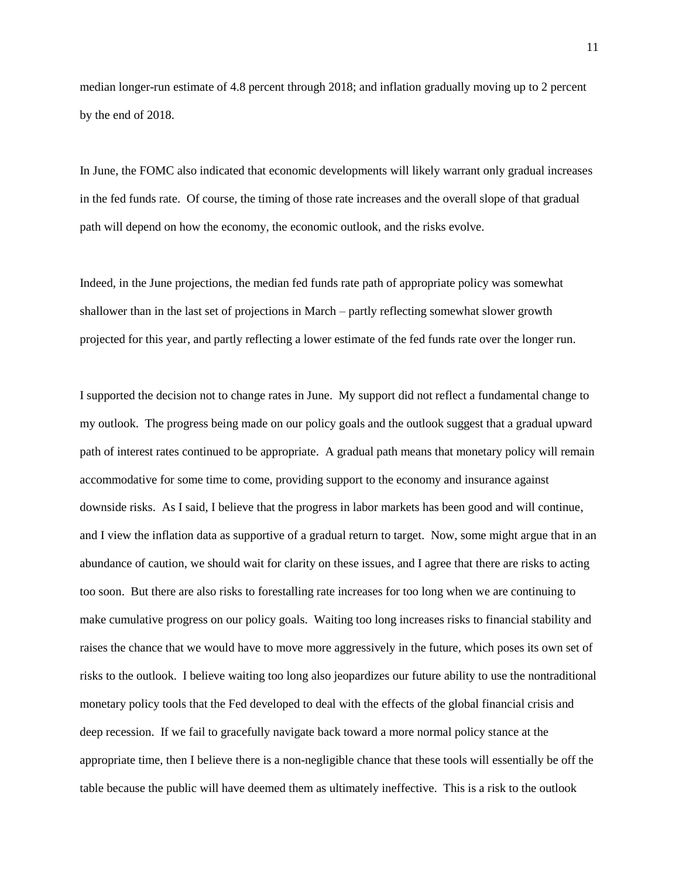median longer-run estimate of 4.8 percent through 2018; and inflation gradually moving up to 2 percent by the end of 2018.

In June, the FOMC also indicated that economic developments will likely warrant only gradual increases in the fed funds rate. Of course, the timing of those rate increases and the overall slope of that gradual path will depend on how the economy, the economic outlook, and the risks evolve.

Indeed, in the June projections, the median fed funds rate path of appropriate policy was somewhat shallower than in the last set of projections in March – partly reflecting somewhat slower growth projected for this year, and partly reflecting a lower estimate of the fed funds rate over the longer run.

I supported the decision not to change rates in June. My support did not reflect a fundamental change to my outlook. The progress being made on our policy goals and the outlook suggest that a gradual upward path of interest rates continued to be appropriate. A gradual path means that monetary policy will remain accommodative for some time to come, providing support to the economy and insurance against downside risks. As I said, I believe that the progress in labor markets has been good and will continue, and I view the inflation data as supportive of a gradual return to target. Now, some might argue that in an abundance of caution, we should wait for clarity on these issues, and I agree that there are risks to acting too soon. But there are also risks to forestalling rate increases for too long when we are continuing to make cumulative progress on our policy goals. Waiting too long increases risks to financial stability and raises the chance that we would have to move more aggressively in the future, which poses its own set of risks to the outlook. I believe waiting too long also jeopardizes our future ability to use the nontraditional monetary policy tools that the Fed developed to deal with the effects of the global financial crisis and deep recession. If we fail to gracefully navigate back toward a more normal policy stance at the appropriate time, then I believe there is a non-negligible chance that these tools will essentially be off the table because the public will have deemed them as ultimately ineffective. This is a risk to the outlook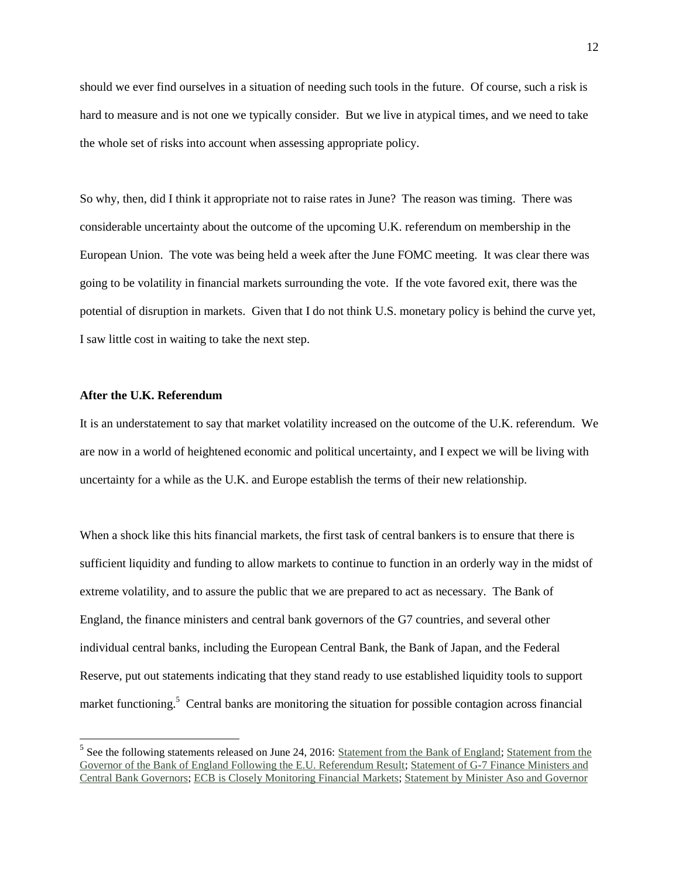should we ever find ourselves in a situation of needing such tools in the future. Of course, such a risk is hard to measure and is not one we typically consider. But we live in atypical times, and we need to take the whole set of risks into account when assessing appropriate policy.

So why, then, did I think it appropriate not to raise rates in June? The reason was timing. There was considerable uncertainty about the outcome of the upcoming U.K. referendum on membership in the European Union. The vote was being held a week after the June FOMC meeting. It was clear there was going to be volatility in financial markets surrounding the vote. If the vote favored exit, there was the potential of disruption in markets. Given that I do not think U.S. monetary policy is behind the curve yet, I saw little cost in waiting to take the next step.

## **After the U.K. Referendum**

 $\overline{a}$ 

It is an understatement to say that market volatility increased on the outcome of the U.K. referendum. We are now in a world of heightened economic and political uncertainty, and I expect we will be living with uncertainty for a while as the U.K. and Europe establish the terms of their new relationship.

When a shock like this hits financial markets, the first task of central bankers is to ensure that there is sufficient liquidity and funding to allow markets to continue to function in an orderly way in the midst of extreme volatility, and to assure the public that we are prepared to act as necessary. The Bank of England, the finance ministers and central bank governors of the G7 countries, and several other individual central banks, including the European Central Bank, the Bank of Japan, and the Federal Reserve, put out statements indicating that they stand ready to use established liquidity tools to support market functioning.<sup>5</sup> Central banks are monitoring the situation for possible contagion across financial

 $<sup>5</sup>$  See the following statements released on June 24, 2016: [Statement from the Bank of England;](http://www.bankofengland.co.uk/publications/Pages/news/2016/057.aspx) Statement from the</sup> [Governor of the Bank of England Following the E.U. Referendum Result;](http://www.bankofengland.co.uk/publications/Pages/news/2016/056.aspx) [Statement of G-7 Finance Ministers and](http://www.mof.go.jp/english/international_policy/convention/g7/g7_160624.htm)  [Central Bank Governors;](http://www.mof.go.jp/english/international_policy/convention/g7/g7_160624.htm) [ECB is Closely Monitoring Financial Markets;](https://www.ecb.europa.eu/press/pr/date/2016/html/pr160624.en.html) [Statement by Minister Aso and Governor](https://www.boj.or.jp/en/announcements/press/danwa/dan1606a.pdf)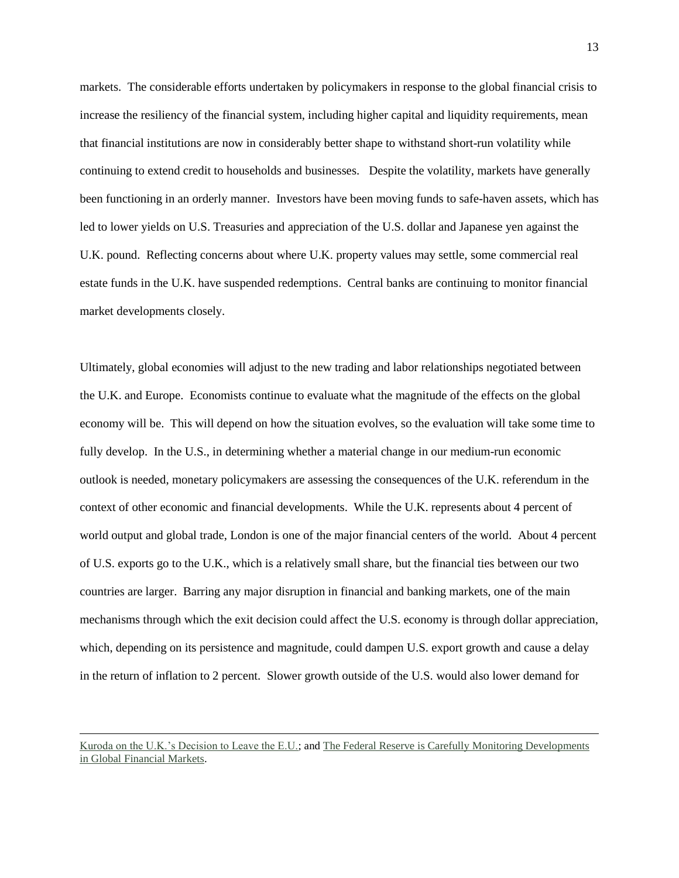markets. The considerable efforts undertaken by policymakers in response to the global financial crisis to increase the resiliency of the financial system, including higher capital and liquidity requirements, mean that financial institutions are now in considerably better shape to withstand short-run volatility while continuing to extend credit to households and businesses. Despite the volatility, markets have generally been functioning in an orderly manner. Investors have been moving funds to safe-haven assets, which has led to lower yields on U.S. Treasuries and appreciation of the U.S. dollar and Japanese yen against the U.K. pound. Reflecting concerns about where U.K. property values may settle, some commercial real estate funds in the U.K. have suspended redemptions. Central banks are continuing to monitor financial market developments closely.

Ultimately, global economies will adjust to the new trading and labor relationships negotiated between the U.K. and Europe. Economists continue to evaluate what the magnitude of the effects on the global economy will be. This will depend on how the situation evolves, so the evaluation will take some time to fully develop. In the U.S., in determining whether a material change in our medium-run economic outlook is needed, monetary policymakers are assessing the consequences of the U.K. referendum in the context of other economic and financial developments. While the U.K. represents about 4 percent of world output and global trade, London is one of the major financial centers of the world. About 4 percent of U.S. exports go to the U.K., which is a relatively small share, but the financial ties between our two countries are larger. Barring any major disruption in financial and banking markets, one of the main mechanisms through which the exit decision could affect the U.S. economy is through dollar appreciation, which, depending on its persistence and magnitude, could dampen U.S. export growth and cause a delay in the return of inflation to 2 percent. Slower growth outside of the U.S. would also lower demand for

 $\overline{\phantom{a}}$ 

[Kuroda on the U.K.'s Decision to Leave the E.U.;](https://www.boj.or.jp/en/announcements/press/danwa/dan1606a.pdf) and [The Federal Reserve is Carefully Monitoring Developments](http://www.federalreserve.gov/newsevents/press/monetary/20160624a.htm)  [in Global Financial Markets.](http://www.federalreserve.gov/newsevents/press/monetary/20160624a.htm)